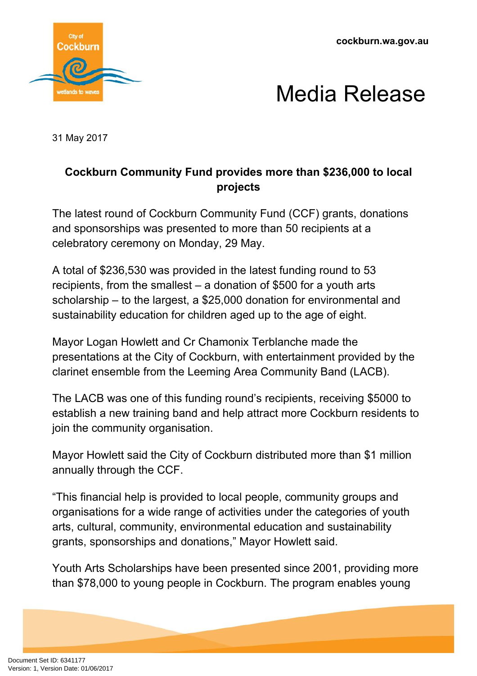**cockburn.wa.gov.au**





31 May 2017

# **Cockburn Community Fund provides more than \$236,000 to local projects**

The latest round of Cockburn Community Fund (CCF) grants, donations and sponsorships was presented to more than 50 recipients at a celebratory ceremony on Monday, 29 May.

A total of \$236,530 was provided in the latest funding round to 53 recipients, from the smallest – a donation of \$500 for a youth arts scholarship – to the largest, a \$25,000 donation for environmental and sustainability education for children aged up to the age of eight.

Mayor Logan Howlett and Cr Chamonix Terblanche made the presentations at the City of Cockburn, with entertainment provided by the clarinet ensemble from the Leeming Area Community Band (LACB).

The LACB was one of this funding round's recipients, receiving \$5000 to establish a new training band and help attract more Cockburn residents to join the community organisation.

Mayor Howlett said the City of Cockburn distributed more than \$1 million annually through the CCF.

"This financial help is provided to local people, community groups and organisations for a wide range of activities under the categories of youth arts, cultural, community, environmental education and sustainability grants, sponsorships and donations," Mayor Howlett said.

Youth Arts Scholarships have been presented since 2001, providing more than \$78,000 to young people in Cockburn. The program enables young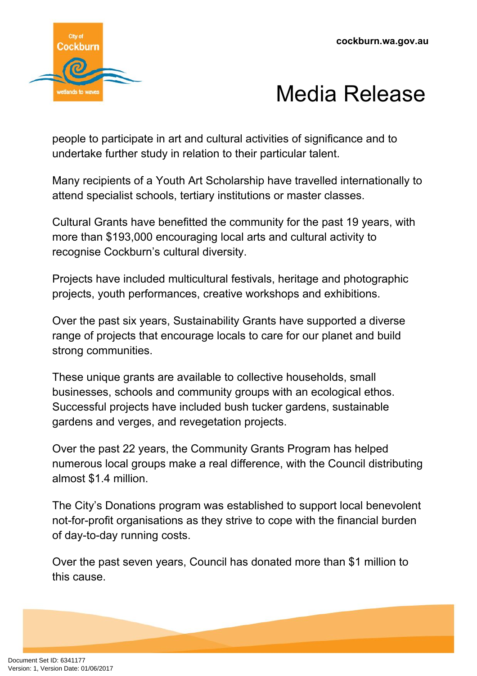

people to participate in art and cultural activities of significance and to undertake further study in relation to their particular talent.

Many recipients of a Youth Art Scholarship have travelled internationally to attend specialist schools, tertiary institutions or master classes.

Cultural Grants have benefitted the community for the past 19 years, with more than \$193,000 encouraging local arts and cultural activity to recognise Cockburn's cultural diversity.

Projects have included multicultural festivals, heritage and photographic projects, youth performances, creative workshops and exhibitions.

Over the past six years, Sustainability Grants have supported a diverse range of projects that encourage locals to care for our planet and build strong communities.

These unique grants are available to collective households, small businesses, schools and community groups with an ecological ethos. Successful projects have included bush tucker gardens, sustainable gardens and verges, and revegetation projects.

Over the past 22 years, the Community Grants Program has helped numerous local groups make a real difference, with the Council distributing almost \$1.4 million.

The City's Donations program was established to support local benevolent not-for-profit organisations as they strive to cope with the financial burden of day-to-day running costs.

Over the past seven years, Council has donated more than \$1 million to this cause.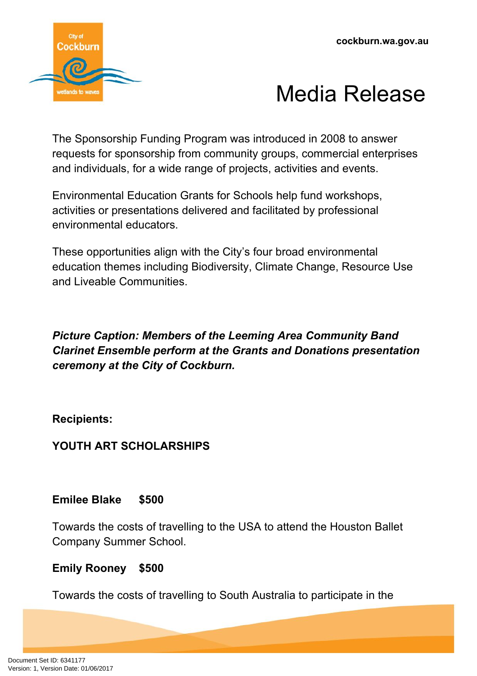

The Sponsorship Funding Program was introduced in 2008 to answer requests for sponsorship from community groups, commercial enterprises and individuals, for a wide range of projects, activities and events.

Environmental Education Grants for Schools help fund workshops, activities or presentations delivered and facilitated by professional environmental educators.

These opportunities align with the City's four broad environmental education themes including Biodiversity, Climate Change, Resource Use and Liveable Communities.

*Picture Caption: Members of the Leeming Area Community Band Clarinet Ensemble perform at the Grants and Donations presentation ceremony at the City of Cockburn.*

**Recipients:**

**YOUTH ART SCHOLARSHIPS**

**Emilee Blake \$500**

Towards the costs of travelling to the USA to attend the Houston Ballet Company Summer School.

# **Emily Rooney \$500**

Towards the costs of travelling to South Australia to participate in the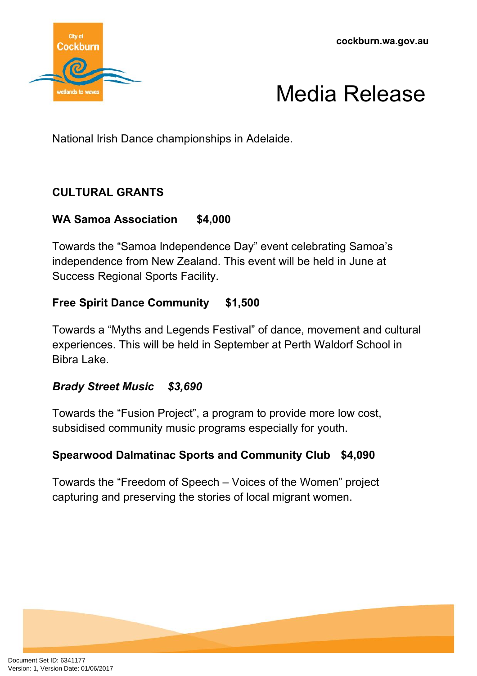



National Irish Dance championships in Adelaide.

# **CULTURAL GRANTS**

## **WA Samoa Association \$4,000**

Towards the "Samoa Independence Day" event celebrating Samoa's independence from New Zealand. This event will be held in June at Success Regional Sports Facility.

## **Free Spirit Dance Community \$1,500**

Towards a "Myths and Legends Festival" of dance, movement and cultural experiences. This will be held in September at Perth Waldorf School in Bibra Lake.

#### *Brady Street Music \$3,690*

Towards the "Fusion Project", a program to provide more low cost, subsidised community music programs especially for youth.

## **Spearwood Dalmatinac Sports and Community Club \$4,090**

Towards the "Freedom of Speech – Voices of the Women" project capturing and preserving the stories of local migrant women.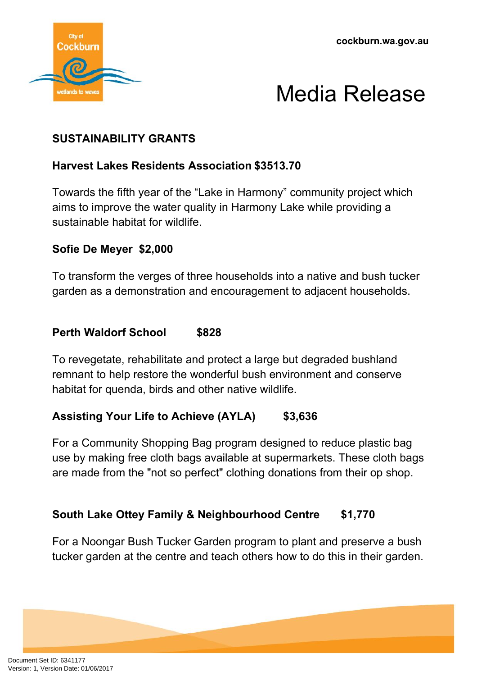



## **SUSTAINABILITY GRANTS**

## **Harvest Lakes Residents Association \$3513.70**

Towards the fifth year of the "Lake in Harmony" community project which aims to improve the water quality in Harmony Lake while providing a sustainable habitat for wildlife.

#### **Sofie De Meyer \$2,000**

To transform the verges of three households into a native and bush tucker garden as a demonstration and encouragement to adjacent households.

#### **Perth Waldorf School \$828**

To revegetate, rehabilitate and protect a large but degraded bushland remnant to help restore the wonderful bush environment and conserve habitat for quenda, birds and other native wildlife.

## **Assisting Your Life to Achieve (AYLA) \$3,636**

For a Community Shopping Bag program designed to reduce plastic bag use by making free cloth bags available at supermarkets. These cloth bags are made from the "not so perfect" clothing donations from their op shop.

## **South Lake Ottey Family & Neighbourhood Centre \$1,770**

For a Noongar Bush Tucker Garden program to plant and preserve a bush tucker garden at the centre and teach others how to do this in their garden.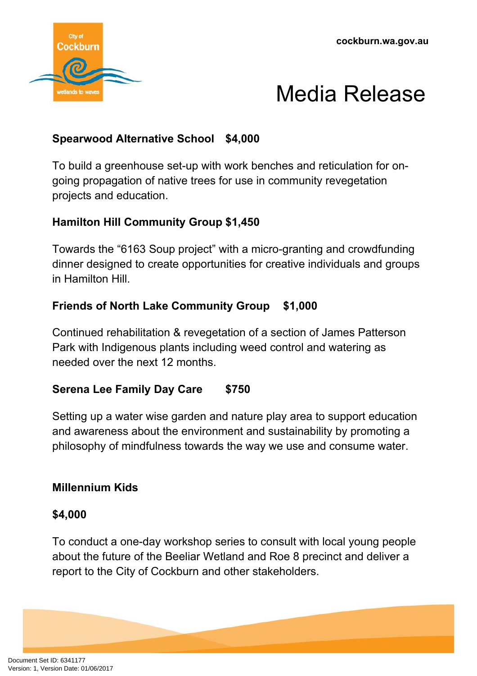



## **Spearwood Alternative School \$4,000**

To build a greenhouse set-up with work benches and reticulation for ongoing propagation of native trees for use in community revegetation projects and education.

## **Hamilton Hill Community Group \$1,450**

Towards the "6163 Soup project" with a micro-granting and crowdfunding dinner designed to create opportunities for creative individuals and groups in Hamilton Hill.

#### **Friends of North Lake Community Group \$1,000**

Continued rehabilitation & revegetation of a section of James Patterson Park with Indigenous plants including weed control and watering as needed over the next 12 months.

## **Serena Lee Family Day Care \$750**

Setting up a water wise garden and nature play area to support education and awareness about the environment and sustainability by promoting a philosophy of mindfulness towards the way we use and consume water.

#### **Millennium Kids**

#### **\$4,000**

To conduct a one-day workshop series to consult with local young people about the future of the Beeliar Wetland and Roe 8 precinct and deliver a report to the City of Cockburn and other stakeholders.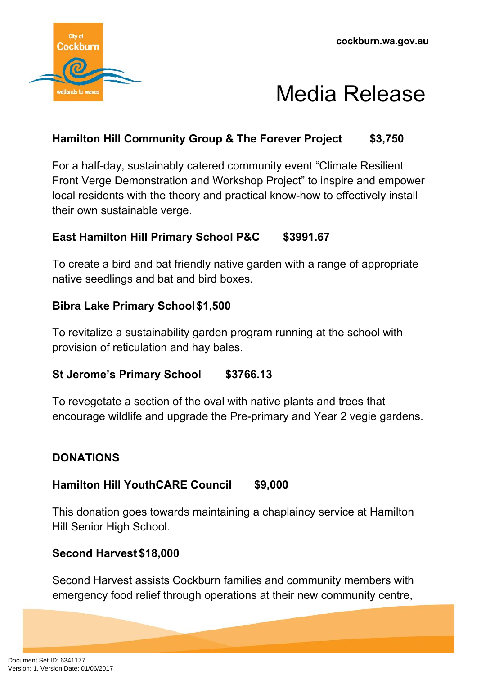



## **Hamilton Hill Community Group & The Forever Project \$3,750**

For a half-day, sustainably catered community event "Climate Resilient Front Verge Demonstration and Workshop Project" to inspire and empower local residents with the theory and practical know-how to effectively install their own sustainable verge.

## **East Hamilton Hill Primary School P&C \$3991.67**

To create a bird and bat friendly native garden with a range of appropriate native seedlings and bat and bird boxes.

#### **Bibra Lake Primary School\$1,500**

To revitalize a sustainability garden program running at the school with provision of reticulation and hay bales.

#### **St Jerome's Primary School \$3766.13**

To revegetate a section of the oval with native plants and trees that encourage wildlife and upgrade the Pre-primary and Year 2 vegie gardens.

## **DONATIONS**

## **Hamilton Hill YouthCARE Council \$9,000**

This donation goes towards maintaining a chaplaincy service at Hamilton Hill Senior High School.

## **Second Harvest \$18,000**

Second Harvest assists Cockburn families and community members with emergency food relief through operations at their new community centre,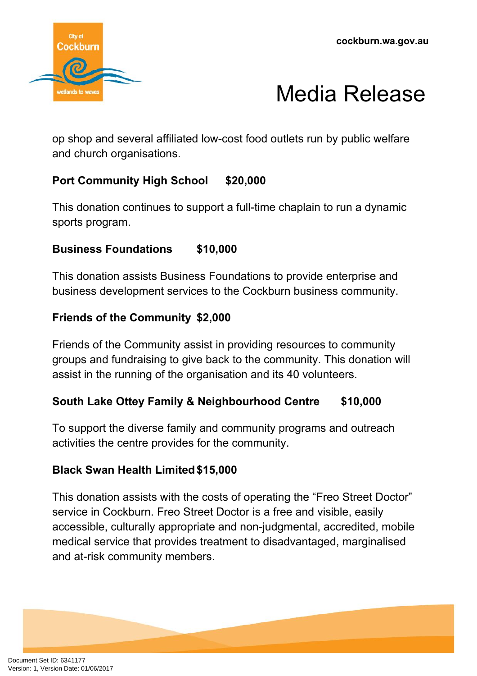



op shop and several affiliated low-cost food outlets run by public welfare and church organisations.

# **Port Community High School \$20,000**

This donation continues to support a full-time chaplain to run a dynamic sports program.

## **Business Foundations \$10,000**

This donation assists Business Foundations to provide enterprise and business development services to the Cockburn business community.

#### **Friends of the Community \$2,000**

Friends of the Community assist in providing resources to community groups and fundraising to give back to the community. This donation will assist in the running of the organisation and its 40 volunteers.

## **South Lake Ottey Family & Neighbourhood Centre \$10,000**

To support the diverse family and community programs and outreach activities the centre provides for the community.

## **Black Swan Health Limited\$15,000**

This donation assists with the costs of operating the "Freo Street Doctor" service in Cockburn. Freo Street Doctor is a free and visible, easily accessible, culturally appropriate and non-judgmental, accredited, mobile medical service that provides treatment to disadvantaged, marginalised and at-risk community members.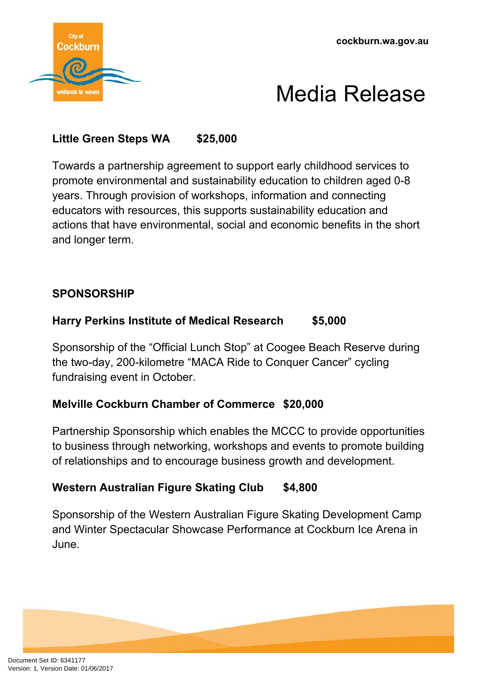



## **Little Green Steps WA \$25,000**

Towards a partnership agreement to support early childhood services to promote environmental and sustainability education to children aged 0-8 years. Through provision of workshops, information and connecting educators with resources, this supports sustainability education and actions that have environmental, social and economic benefits in the short and longer term.

#### **SPONSORSHIP**

#### **Harry Perkins Institute of Medical Research \$5,000**

Sponsorship of the "Official Lunch Stop" at Coogee Beach Reserve during the two-day, 200-kilometre "MACA Ride to Conquer Cancer" cycling fundraising event in October.

#### **Melville Cockburn Chamber of Commerce \$20,000**

Partnership Sponsorship which enables the MCCC to provide opportunities to business through networking, workshops and events to promote building of relationships and to encourage business growth and development.

#### **Western Australian Figure Skating Club \$4,800**

Sponsorship of the Western Australian Figure Skating Development Camp and Winter Spectacular Showcase Performance at Cockburn Ice Arena in June.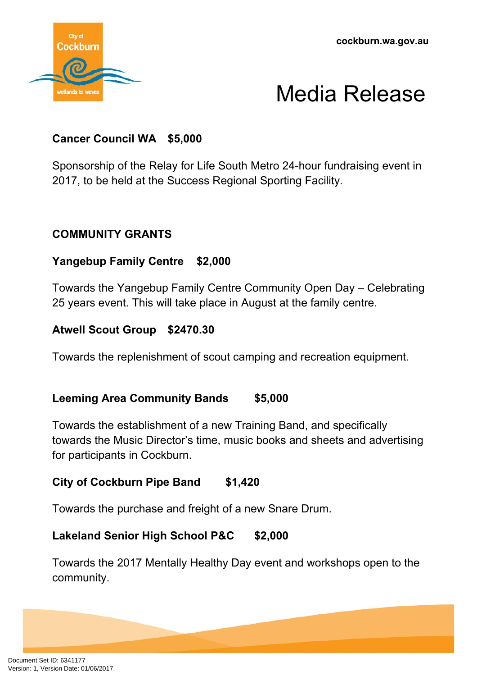

## **Cancer Council WA \$5,000**

Sponsorship of the Relay for Life South Metro 24-hour fundraising event in 2017, to be held at the Success Regional Sporting Facility.

#### **COMMUNITY GRANTS**

#### **Yangebup Family Centre \$2,000**

Towards the Yangebup Family Centre Community Open Day – Celebrating 25 years event. This will take place in August at the family centre.

#### **Atwell Scout Group \$2470.30**

Towards the replenishment of scout camping and recreation equipment.

#### **Leeming Area Community Bands \$5,000**

Towards the establishment of a new Training Band, and specifically towards the Music Director's time, music books and sheets and advertising for participants in Cockburn.

## **City of Cockburn Pipe Band \$1,420**

Towards the purchase and freight of a new Snare Drum.

#### **Lakeland Senior High School P&C \$2,000**

Towards the 2017 Mentally Healthy Day event and workshops open to the community.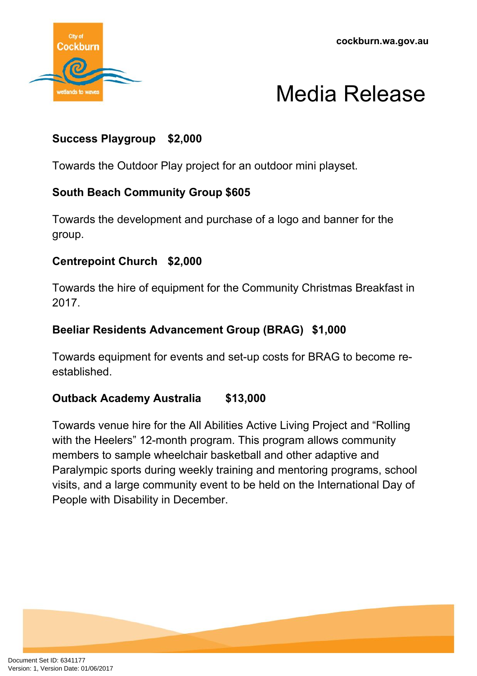



## **Success Playgroup \$2,000**

Towards the Outdoor Play project for an outdoor mini playset.

## **South Beach Community Group \$605**

Towards the development and purchase of a logo and banner for the group.

## **Centrepoint Church \$2,000**

Towards the hire of equipment for the Community Christmas Breakfast in 2017.

#### **Beeliar Residents Advancement Group (BRAG) \$1,000**

Towards equipment for events and set-up costs for BRAG to become reestablished.

## **Outback Academy Australia \$13,000**

Towards venue hire for the All Abilities Active Living Project and "Rolling with the Heelers" 12-month program. This program allows community members to sample wheelchair basketball and other adaptive and Paralympic sports during weekly training and mentoring programs, school visits, and a large community event to be held on the International Day of People with Disability in December.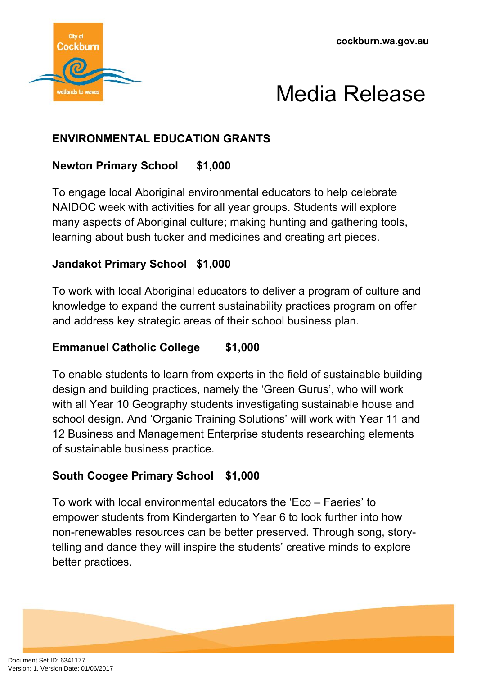



# **ENVIRONMENTAL EDUCATION GRANTS**

## **Newton Primary School \$1,000**

To engage local Aboriginal environmental educators to help celebrate NAIDOC week with activities for all year groups. Students will explore many aspects of Aboriginal culture; making hunting and gathering tools, learning about bush tucker and medicines and creating art pieces.

## **Jandakot Primary School \$1,000**

To work with local Aboriginal educators to deliver a program of culture and knowledge to expand the current sustainability practices program on offer and address key strategic areas of their school business plan.

## **Emmanuel Catholic College \$1,000**

To enable students to learn from experts in the field of sustainable building design and building practices, namely the 'Green Gurus', who will work with all Year 10 Geography students investigating sustainable house and school design. And 'Organic Training Solutions' will work with Year 11 and 12 Business and Management Enterprise students researching elements of sustainable business practice.

## **South Coogee Primary School \$1,000**

To work with local environmental educators the 'Eco – Faeries' to empower students from Kindergarten to Year 6 to look further into how non-renewables resources can be better preserved. Through song, storytelling and dance they will inspire the students' creative minds to explore better practices.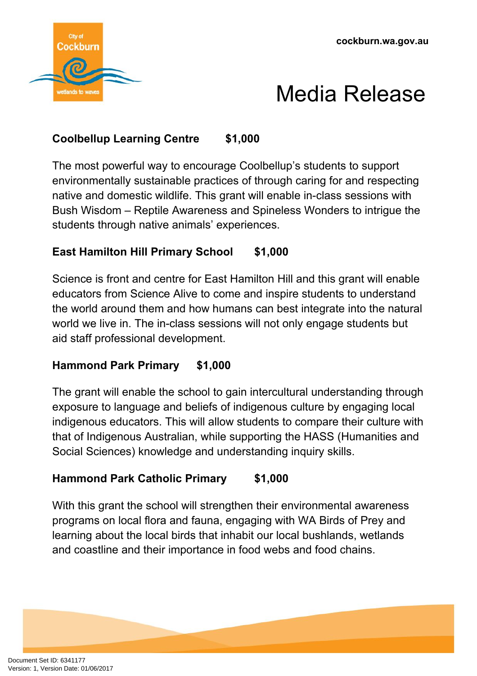



## **Coolbellup Learning Centre \$1,000**

The most powerful way to encourage Coolbellup's students to support environmentally sustainable practices of through caring for and respecting native and domestic wildlife. This grant will enable in-class sessions with Bush Wisdom – Reptile Awareness and Spineless Wonders to intrigue the students through native animals' experiences.

## **East Hamilton Hill Primary School \$1,000**

Science is front and centre for East Hamilton Hill and this grant will enable educators from Science Alive to come and inspire students to understand the world around them and how humans can best integrate into the natural world we live in. The in-class sessions will not only engage students but aid staff professional development.

## **Hammond Park Primary \$1,000**

The grant will enable the school to gain intercultural understanding through exposure to language and beliefs of indigenous culture by engaging local indigenous educators. This will allow students to compare their culture with that of Indigenous Australian, while supporting the HASS (Humanities and Social Sciences) knowledge and understanding inquiry skills.

## **Hammond Park Catholic Primary \$1,000**

With this grant the school will strengthen their environmental awareness programs on local flora and fauna, engaging with WA Birds of Prey and learning about the local birds that inhabit our local bushlands, wetlands and coastline and their importance in food webs and food chains.